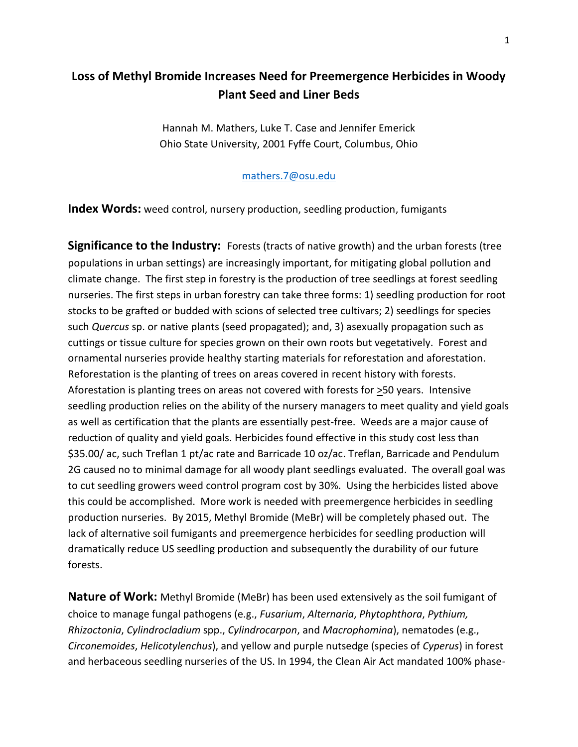## **Loss of Methyl Bromide Increases Need for Preemergence Herbicides in Woody Plant Seed and Liner Beds**

Hannah M. Mathers, Luke T. Case and Jennifer Emerick Ohio State University, 2001 Fyffe Court, Columbus, Ohio

## [mathers.7@osu.edu](mailto:mathers.7@osu.edu)

**Index Words:** weed control, nursery production, seedling production, fumigants

**Significance to the Industry:** Forests (tracts of native growth) and the urban forests (tree populations in urban settings) are increasingly important, for mitigating global pollution and climate change. The first step in forestry is the production of tree seedlings at forest seedling nurseries. The first steps in urban forestry can take three forms: 1) seedling production for root stocks to be grafted or budded with scions of selected tree cultivars; 2) seedlings for species such *Quercus* sp. or native plants (seed propagated); and, 3) asexually propagation such as cuttings or tissue culture for species grown on their own roots but vegetatively. Forest and ornamental nurseries provide healthy starting materials for reforestation and aforestation. Reforestation is the planting of trees on areas covered in recent history with forests. Aforestation is planting trees on areas not covered with forests for >50 years. Intensive seedling production relies on the ability of the nursery managers to meet quality and yield goals as well as certification that the plants are essentially pest-free. Weeds are a major cause of reduction of quality and yield goals. Herbicides found effective in this study cost less than \$35.00/ ac, such Treflan 1 pt/ac rate and Barricade 10 oz/ac. Treflan, Barricade and Pendulum 2G caused no to minimal damage for all woody plant seedlings evaluated. The overall goal was to cut seedling growers weed control program cost by 30%. Using the herbicides listed above this could be accomplished. More work is needed with preemergence herbicides in seedling production nurseries. By 2015, Methyl Bromide (MeBr) will be completely phased out. The lack of alternative soil fumigants and preemergence herbicides for seedling production will dramatically reduce US seedling production and subsequently the durability of our future forests.

**Nature of Work:** Methyl Bromide (MeBr) has been used extensively as the soil fumigant of choice to manage fungal pathogens (e.g., *Fusarium*, *Alternaria*, *Phytophthora*, *Pythium, Rhizoctonia*, *Cylindrocladium* spp., *Cylindrocarpon*, and *Macrophomina*), nematodes (e.g., *Circonemoides*, *Helicotylenchus*), and yellow and purple nutsedge (species of *Cyperus*) in forest and herbaceous seedling nurseries of the US. In 1994, the Clean Air Act mandated 100% phase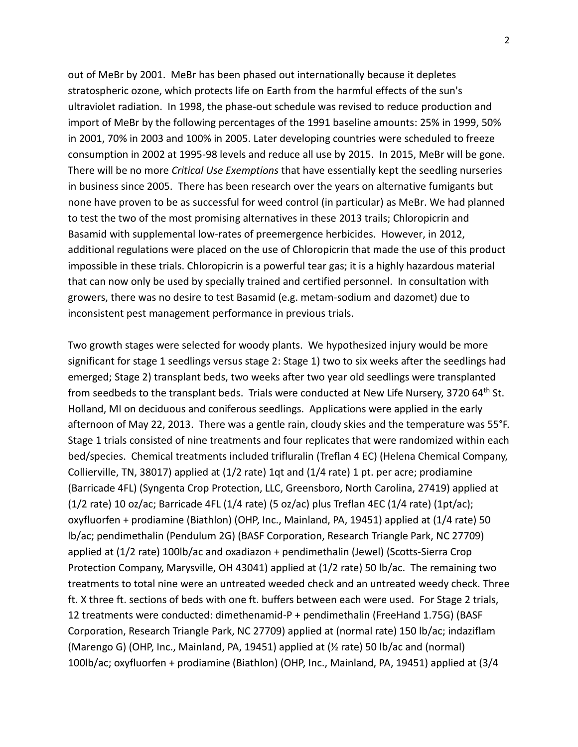out of MeBr by 2001. MeBr has been phased out internationally because it depletes stratospheric ozone, which protects life on Earth from the harmful effects of the sun's ultraviolet radiation. In 1998, the phase-out schedule was revised to reduce production and import of MeBr by the following percentages of the 1991 baseline amounts: 25% in 1999, 50% in 2001, 70% in 2003 and 100% in 2005. Later developing countries were scheduled to freeze consumption in 2002 at 1995-98 levels and reduce all use by 2015. In 2015, MeBr will be gone. There will be no more *Critical Use Exemptions* that have essentially kept the seedling nurseries in business since 2005. There has been research over the years on alternative fumigants but none have proven to be as successful for weed control (in particular) as MeBr. We had planned to test the two of the most promising alternatives in these 2013 trails; Chloropicrin and Basamid with supplemental low-rates of preemergence herbicides. However, in 2012, additional regulations were placed on the use of Chloropicrin that made the use of this product impossible in these trials. Chloropicrin is a powerful tear gas; it is a highly hazardous material that can now only be used by specially trained and certified personnel. In consultation with growers, there was no desire to test Basamid (e.g. metam-sodium and dazomet) due to inconsistent pest management performance in previous trials.

Two growth stages were selected for woody plants. We hypothesized injury would be more significant for stage 1 seedlings versus stage 2: Stage 1) two to six weeks after the seedlings had emerged; Stage 2) transplant beds, two weeks after two year old seedlings were transplanted from seedbeds to the transplant beds. Trials were conducted at New Life Nursery, 3720 64<sup>th</sup> St. Holland, MI on deciduous and coniferous seedlings. Applications were applied in the early afternoon of May 22, 2013. There was a gentle rain, cloudy skies and the temperature was 55°F. Stage 1 trials consisted of nine treatments and four replicates that were randomized within each bed/species. Chemical treatments included trifluralin (Treflan 4 EC) (Helena Chemical Company, Collierville, TN, 38017) applied at (1/2 rate) 1qt and (1/4 rate) 1 pt. per acre; prodiamine (Barricade 4FL) (Syngenta Crop Protection, LLC, Greensboro, North Carolina, 27419) applied at (1/2 rate) 10 oz/ac; Barricade 4FL (1/4 rate) (5 oz/ac) plus Treflan 4EC (1/4 rate) (1pt/ac); oxyfluorfen + prodiamine (Biathlon) (OHP, Inc., Mainland, PA, 19451) applied at (1/4 rate) 50 lb/ac; pendimethalin (Pendulum 2G) (BASF Corporation, Research Triangle Park, NC 27709) applied at (1/2 rate) 100lb/ac and oxadiazon + pendimethalin (Jewel) (Scotts-Sierra Crop Protection Company, Marysville, OH 43041) applied at (1/2 rate) 50 lb/ac. The remaining two treatments to total nine were an untreated weeded check and an untreated weedy check. Three ft. X three ft. sections of beds with one ft. buffers between each were used. For Stage 2 trials, 12 treatments were conducted: dimethenamid-P + pendimethalin (FreeHand 1.75G) (BASF Corporation, Research Triangle Park, NC 27709) applied at (normal rate) 150 lb/ac; indaziflam (Marengo G) (OHP, Inc., Mainland, PA, 19451) applied at (½ rate) 50 lb/ac and (normal) 100lb/ac; oxyfluorfen + prodiamine (Biathlon) (OHP, Inc., Mainland, PA, 19451) applied at (3/4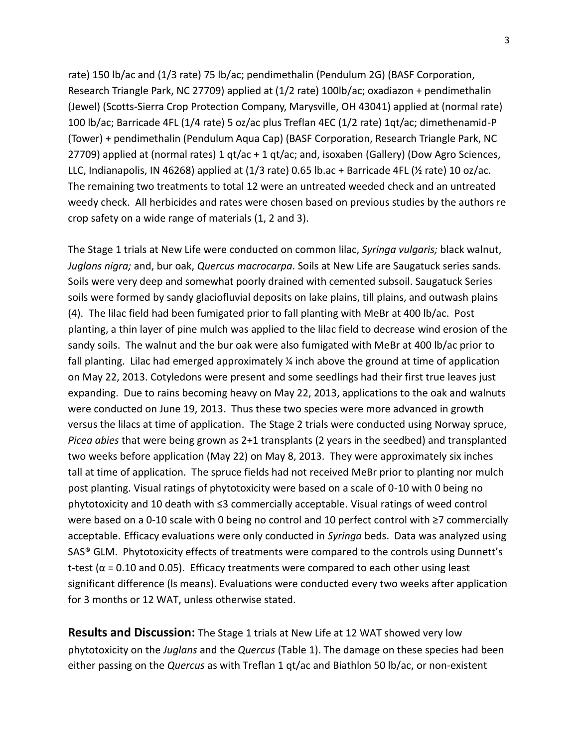rate) 150 lb/ac and (1/3 rate) 75 lb/ac; pendimethalin (Pendulum 2G) (BASF Corporation, Research Triangle Park, NC 27709) applied at (1/2 rate) 100lb/ac; oxadiazon + pendimethalin (Jewel) (Scotts-Sierra Crop Protection Company, Marysville, OH 43041) applied at (normal rate) 100 lb/ac; Barricade 4FL (1/4 rate) 5 oz/ac plus Treflan 4EC (1/2 rate) 1qt/ac; dimethenamid-P (Tower) + pendimethalin (Pendulum Aqua Cap) (BASF Corporation, Research Triangle Park, NC 27709) applied at (normal rates) 1 qt/ac + 1 qt/ac; and, isoxaben (Gallery) (Dow Agro Sciences, LLC, Indianapolis, IN 46268) applied at (1/3 rate) 0.65 lb.ac + Barricade 4FL (½ rate) 10 oz/ac. The remaining two treatments to total 12 were an untreated weeded check and an untreated weedy check. All herbicides and rates were chosen based on previous studies by the authors re crop safety on a wide range of materials (1, 2 and 3).

The Stage 1 trials at New Life were conducted on common lilac, *Syringa vulgaris;* black walnut, *Juglans nigra;* and, bur oak, *Quercus macrocarpa*. Soils at New Life are Saugatuck series sands. Soils were very deep and somewhat poorly drained with cemented subsoil. Saugatuck Series soils were formed by sandy glaciofluvial deposits on lake plains, till plains, and outwash plains (4). The lilac field had been fumigated prior to fall planting with MeBr at 400 lb/ac. Post planting, a thin layer of pine mulch was applied to the lilac field to decrease wind erosion of the sandy soils. The walnut and the bur oak were also fumigated with MeBr at 400 lb/ac prior to fall planting. Lilac had emerged approximately ¼ inch above the ground at time of application on May 22, 2013. Cotyledons were present and some seedlings had their first true leaves just expanding. Due to rains becoming heavy on May 22, 2013, applications to the oak and walnuts were conducted on June 19, 2013. Thus these two species were more advanced in growth versus the lilacs at time of application. The Stage 2 trials were conducted using Norway spruce, *Picea abies* that were being grown as 2+1 transplants (2 years in the seedbed) and transplanted two weeks before application (May 22) on May 8, 2013. They were approximately six inches tall at time of application. The spruce fields had not received MeBr prior to planting nor mulch post planting. Visual ratings of phytotoxicity were based on a scale of 0-10 with 0 being no phytotoxicity and 10 death with ≤3 commercially acceptable. Visual ratings of weed control were based on a 0-10 scale with 0 being no control and 10 perfect control with ≥7 commercially acceptable. Efficacy evaluations were only conducted in *Syringa* beds. Data was analyzed using SAS® GLM. Phytotoxicity effects of treatments were compared to the controls using Dunnett's t-test ( $\alpha$  = 0.10 and 0.05). Efficacy treatments were compared to each other using least significant difference (ls means). Evaluations were conducted every two weeks after application for 3 months or 12 WAT, unless otherwise stated.

**Results and Discussion:** The Stage 1 trials at New Life at 12 WAT showed very low phytotoxicity on the *Juglans* and the *Quercus* (Table 1). The damage on these species had been either passing on the *Quercus* as with Treflan 1 qt/ac and Biathlon 50 lb/ac, or non-existent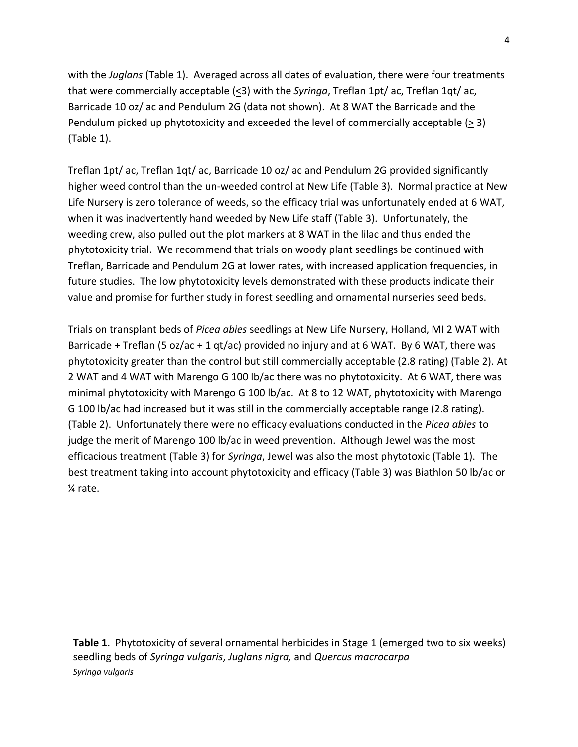with the *Juglans* (Table 1). Averaged across all dates of evaluation, there were four treatments that were commercially acceptable (<3) with the *Syringa*, Treflan 1pt/ ac, Treflan 1qt/ ac, Barricade 10 oz/ ac and Pendulum 2G (data not shown). At 8 WAT the Barricade and the Pendulum picked up phytotoxicity and exceeded the level of commercially acceptable  $(2 3)$ (Table 1).

Treflan 1pt/ ac, Treflan 1qt/ ac, Barricade 10 oz/ ac and Pendulum 2G provided significantly higher weed control than the un-weeded control at New Life (Table 3). Normal practice at New Life Nursery is zero tolerance of weeds, so the efficacy trial was unfortunately ended at 6 WAT, when it was inadvertently hand weeded by New Life staff (Table 3). Unfortunately, the weeding crew, also pulled out the plot markers at 8 WAT in the lilac and thus ended the phytotoxicity trial. We recommend that trials on woody plant seedlings be continued with Treflan, Barricade and Pendulum 2G at lower rates, with increased application frequencies, in future studies. The low phytotoxicity levels demonstrated with these products indicate their value and promise for further study in forest seedling and ornamental nurseries seed beds.

Trials on transplant beds of *Picea abies* seedlings at New Life Nursery, Holland, MI 2 WAT with Barricade + Treflan (5 oz/ac + 1 qt/ac) provided no injury and at 6 WAT. By 6 WAT, there was phytotoxicity greater than the control but still commercially acceptable (2.8 rating) (Table 2). At 2 WAT and 4 WAT with Marengo G 100 lb/ac there was no phytotoxicity. At 6 WAT, there was minimal phytotoxicity with Marengo G 100 lb/ac. At 8 to 12 WAT, phytotoxicity with Marengo G 100 lb/ac had increased but it was still in the commercially acceptable range (2.8 rating). (Table 2). Unfortunately there were no efficacy evaluations conducted in the *Picea abies* to judge the merit of Marengo 100 lb/ac in weed prevention. Although Jewel was the most efficacious treatment (Table 3) for *Syringa*, Jewel was also the most phytotoxic (Table 1). The best treatment taking into account phytotoxicity and efficacy (Table 3) was Biathlon 50 lb/ac or ¼ rate.

**Table 1**. Phytotoxicity of several ornamental herbicides in Stage 1 (emerged two to six weeks) seedling beds of *Syringa vulgaris*, *Juglans nigra,* and *Quercus macrocarpa Syringa vulgaris*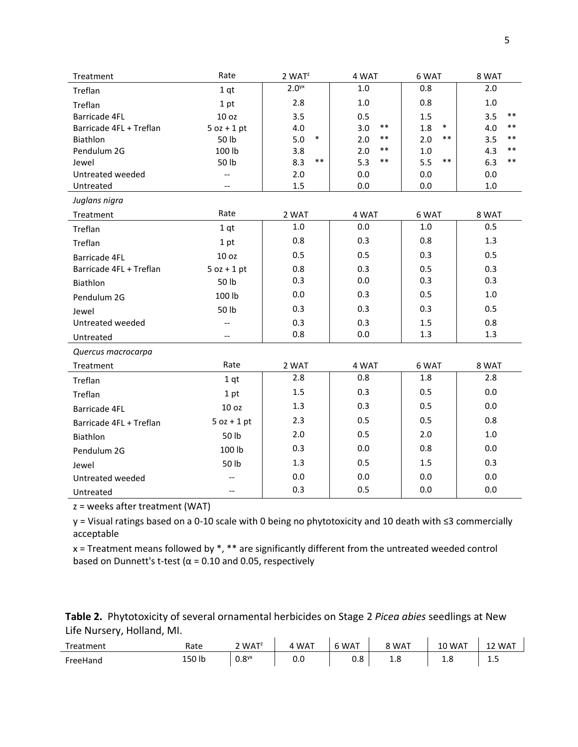| Treatment               | Rate                     | $2$ WAT <sup>z</sup> | 4 WAT        | 6 WAT         | 8 WAT          |  |
|-------------------------|--------------------------|----------------------|--------------|---------------|----------------|--|
| Treflan                 | 1 <sub>qt</sub>          | 2.0 <sup>yx</sup>    | $1.0\,$      | 0.8           | 2.0            |  |
| Treflan                 | 1 pt                     | 2.8                  | $1.0\,$      | 0.8           | $1.0\,$        |  |
| <b>Barricade 4FL</b>    | 10 oz                    | 3.5                  | 0.5          | 1.5           | $***$<br>3.5   |  |
| Barricade 4FL + Treflan | $5$ oz + 1 pt            | 4.0                  | $***$<br>3.0 | $\ast$<br>1.8 | $***$<br>4.0   |  |
| <b>Biathlon</b>         | 50 lb                    | 5.0<br>$\ast$        | **<br>2.0    | $***$<br>2.0  | **<br>3.5      |  |
| Pendulum 2G             | 100 lb                   | 3.8                  | $***$<br>2.0 | 1.0           | $***$<br>4.3   |  |
| Jewel                   | 50 lb                    | $***$<br>8.3         | 5.3<br>**    | $***$<br>5.5  | 6.3<br>**      |  |
| Untreated weeded        | $-$                      | 2.0<br>$1.5\,$       | 0.0<br>0.0   | 0.0           | 0.0<br>$1.0\,$ |  |
| Untreated               |                          |                      |              | 0.0           |                |  |
| Juglans nigra           |                          |                      |              |               |                |  |
| Treatment               | Rate                     | 2 WAT                | 4 WAT        | 6 WAT         | 8 WAT          |  |
| Treflan                 | 1 <sub>qt</sub>          | 1.0                  | 0.0          | 1.0           | 0.5            |  |
| Treflan                 | 1 pt                     | 0.8                  | 0.3          | 0.8           | 1.3            |  |
| <b>Barricade 4FL</b>    | 10 oz                    | 0.5                  | 0.5          | 0.3           | 0.5            |  |
| Barricade 4FL + Treflan | $5$ oz + 1 pt            | 0.8                  | 0.3          | 0.5           | 0.3            |  |
| Biathlon                | 50 lb                    | 0.3                  | 0.0          | 0.3           | 0.3            |  |
| Pendulum 2G             | 100 lb                   | 0.0                  | 0.3          | 0.5           | 1.0            |  |
| Jewel                   | 50 lb                    | 0.3                  | 0.3          | 0.3           | 0.5            |  |
| Untreated weeded        | $-$                      | 0.3                  | 0.3          | 1.5           | 0.8            |  |
| Untreated               | --                       | 0.8                  | 0.0          | 1.3           | 1.3            |  |
| Quercus macrocarpa      |                          |                      |              |               |                |  |
| Treatment               | Rate                     | 2 WAT                | 4 WAT        | 6 WAT         | 8 WAT          |  |
| Treflan                 | 1 <sub>qt</sub>          | 2.8                  | 0.8          | 1.8           | 2.8            |  |
| Treflan                 | 1 pt                     | 1.5                  | 0.3          | 0.5           | 0.0            |  |
| <b>Barricade 4FL</b>    | 10 oz                    | 1.3                  | 0.3          | 0.5           | 0.0            |  |
| Barricade 4FL + Treflan | $5 oz + 1 pt$            | 2.3                  | 0.5          | 0.5           | 0.8            |  |
| Biathlon                | 50 lb                    | 2.0                  | 0.5          | 2.0           | $1.0\,$        |  |
| Pendulum 2G             | 100 lb                   | 0.3                  | 0.0          | 0.8           | 0.0            |  |
| Jewel                   | 50 lb                    | 1.3                  | 0.5          | 1.5           | 0.3            |  |
| Untreated weeded        | $\overline{\phantom{a}}$ | 0.0                  | 0.0          | 0.0           | 0.0            |  |
| Untreated               |                          | 0.3                  | 0.5          | 0.0           | 0.0            |  |

z = weeks after treatment (WAT)

y = Visual ratings based on a 0-10 scale with 0 being no phytotoxicity and 10 death with ≤3 commercially acceptable

x = Treatment means followed by \*, \*\* are significantly different from the untreated weeded control based on Dunnett's t-test ( $\alpha$  = 0.10 and 0.05, respectively

| Table 2. Phytotoxicity of several ornamental herbicides on Stage 2 Picea abies seedlings at New |  |  |
|-------------------------------------------------------------------------------------------------|--|--|
| Life Nursery, Holland, MI.                                                                      |  |  |

| . .<br>Treatment | Rate   | 2 WAT <sup>z</sup> | WAT | WAT | 8 WAT | 10 WAT | WAT |
|------------------|--------|--------------------|-----|-----|-------|--------|-----|
| FreeHand         | 150 lb | 0.8 <sup>yx</sup>  | 0.0 | 0.8 | 0. 1  | ه.د    | ⊥.J |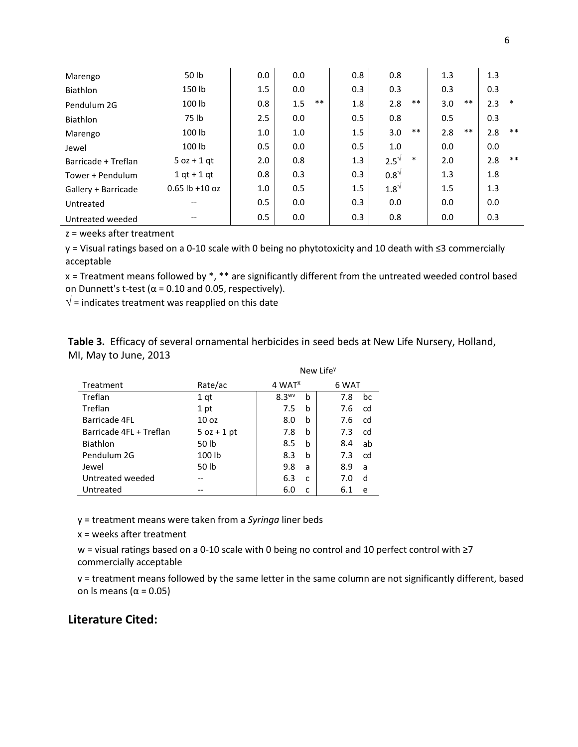| Marengo             | 50 lb            | 0.0 | 0.0 |       | 0.8     | 0.8          |        | 1.3 |       | 1.3 |       |
|---------------------|------------------|-----|-----|-------|---------|--------------|--------|-----|-------|-----|-------|
| Biathlon            | 150 lb           | 1.5 | 0.0 |       | 0.3     | 0.3          |        | 0.3 |       | 0.3 |       |
| Pendulum 2G         | 100 lb           | 0.8 | 1.5 | $***$ | 1.8     | 2.8          | $***$  | 3.0 | $***$ | 2.3 | *     |
| Biathlon            | 75 lb            | 2.5 | 0.0 |       | 0.5     | 0.8          |        | 0.5 |       | 0.3 |       |
| Marengo             | 100 lb           | 1.0 | 1.0 |       | 1.5     | 3.0          | $***$  | 2.8 | $***$ | 2.8 | $***$ |
| Jewel               | 100 lb           | 0.5 | 0.0 |       | 0.5     | 1.0          |        | 0.0 |       | 0.0 |       |
| Barricade + Treflan | $5$ oz + 1 gt    | 2.0 | 0.8 |       | 1.3     | $2.5^{\vee}$ | $\ast$ | 2.0 |       | 2.8 | $***$ |
| Tower + Pendulum    | $1$ at $+$ 1 at  | 0.8 | 0.3 |       | 0.3     | $0.8^{\vee}$ |        | 1.3 |       | 1.8 |       |
| Gallery + Barricade | $0.65$ lb +10 oz | 1.0 | 0.5 |       | $1.5\,$ | $1.8^{\vee}$ |        | 1.5 |       | 1.3 |       |
| Untreated           |                  | 0.5 | 0.0 |       | 0.3     | 0.0          |        | 0.0 |       | 0.0 |       |
| Untreated weeded    | --               | 0.5 | 0.0 |       | 0.3     | 0.8          |        | 0.0 |       | 0.3 |       |

z = weeks after treatment

y = Visual ratings based on a 0-10 scale with 0 being no phytotoxicity and 10 death with ≤3 commercially acceptable

 $x$  = Treatment means followed by  $*$ ,  $**$  are significantly different from the untreated weeded control based on Dunnett's t-test ( $\alpha$  = 0.10 and 0.05, respectively).

 $\sqrt{}$  = indicates treatment was reapplied on this date

**Table 3.** Efficacy of several ornamental herbicides in seed beds at New Life Nursery, Holland, MI, May to June, 2013

New Life<sup>y</sup>

| Treatment               | Rate/ac          | 4 WAT <sup><math>X</math></sup> | 6 WAT     |  |  |  |
|-------------------------|------------------|---------------------------------|-----------|--|--|--|
| Treflan                 | 1 qt             | $8.3***$<br>b                   | bc<br>7.8 |  |  |  |
| Treflan                 | 1 pt             | 7.5<br>b                        | 7.6<br>cd |  |  |  |
| Barricade 4FL           | 10 <sub>oz</sub> | 8.0<br>b                        | cd<br>7.6 |  |  |  |
| Barricade 4FL + Treflan | $5$ oz + 1 pt    | 7.8<br>b                        | 7.3<br>cd |  |  |  |
| Biathlon                | 50 lb            | 8.5<br>b                        | 8.4<br>ab |  |  |  |
| Pendulum 2G             | 100 lb           | 8.3<br>b                        | cd<br>7.3 |  |  |  |
| Jewel                   | 50 lb            | 9.8<br>a                        | 8.9<br>a  |  |  |  |
| Untreated weeded        |                  | 6.3<br>C                        | 7.0<br>d  |  |  |  |
| Untreated               |                  | 6.0                             | 6.1<br>e  |  |  |  |
|                         |                  |                                 |           |  |  |  |

y = treatment means were taken from a *Syringa* liner beds

x = weeks after treatment

w = visual ratings based on a 0-10 scale with 0 being no control and 10 perfect control with ≥7 commercially acceptable

v = treatment means followed by the same letter in the same column are not significantly different, based on ls means ( $α = 0.05$ )

## **Literature Cited:**